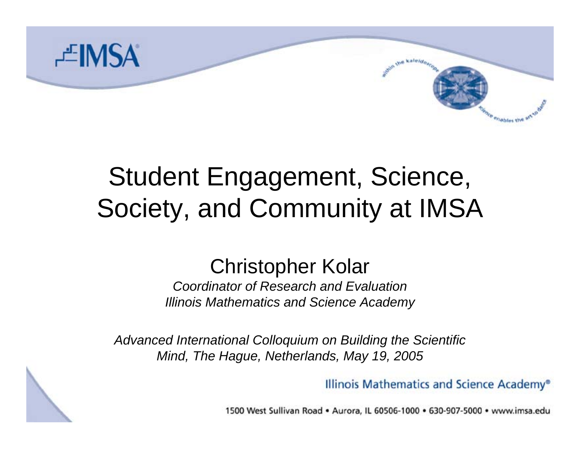

# Student Engagement, Science, Society, and Community at IMSA

#### Christopher Kolar

*Coordinator of Research and EvaluationIllinois Mathematics and Science Academy*

*Advanced International Colloquium on Building the Scientific Mind, The Hague, Netherlands, May 19, 2005*

Illinois Mathematics and Science Academy®

**kaleter** 

enables the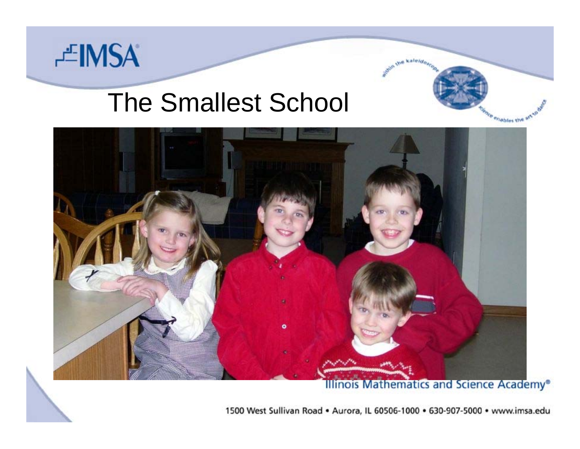

#### The Smallest School



**Illinois Mathematics and Science Academy®** 

**Jue Kaleido** 

enables the anso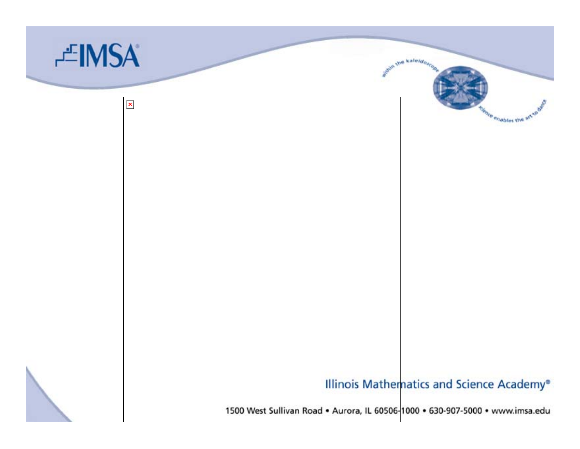

#### Illinois Mathematics and Science Academy®

ce enables the a<sup>n</sup>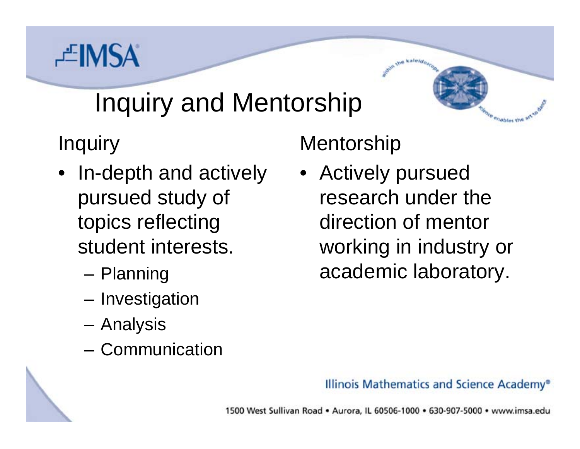# 芒IMSA

# Inquiry and Mentorship

Inquiry

- • In-depth and actively pursued study of topics reflecting student interests.
	- Planning
	- –– Investigation
	- Analysis
	- –Communication

#### **Mentorship**

• Actively pursued research under the direction of mentor working in industry or academic laboratory.

Viables the

#### Illinois Mathematics and Science Academy®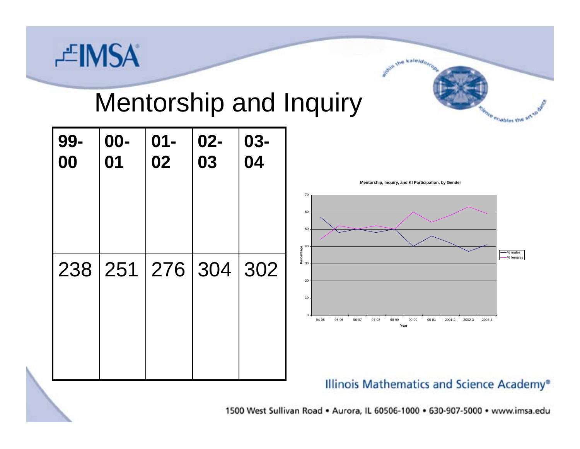

#### Mentorship and Inquiry



1500 West Sullivan Road . Aurora, IL 60506-1000 . 630-907-5000 . www.imsa.edu

we kaleido.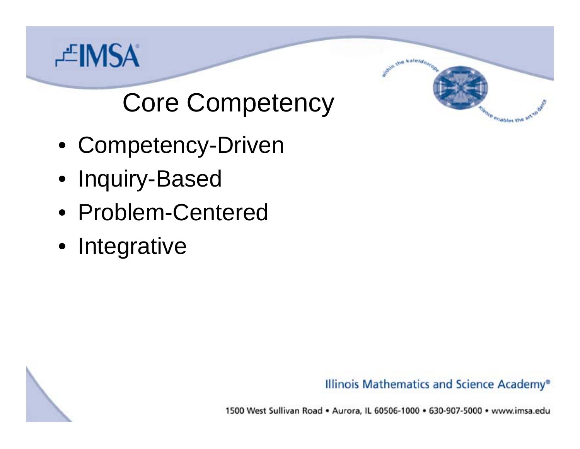

# Core Competency

- Competency-Driven
- Inquiry-Based
- •Problem-Centered
- Integrative

Illinois Mathematics and Science Academy®

a kaleido.

enables the answer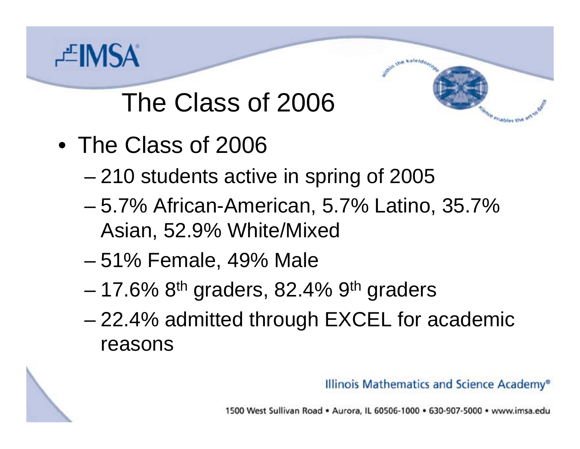

## The Class of 2006

- •The Class of 2006
	- –210 students active in spring of 2005
	- and the state of the state 5.7% African-American, 5.7% Latino, 35.7% Asian, 52.9% White/Mixed
	- –51% Female, 49% Male
	- and the state of the state – 17.6% 8<sup>th</sup> graders, 82.4% 9<sup>th</sup> graders
	- and the state of the state 22.4% admitted through EXCEL for academic reasons

Illinois Mathematics and Science Academy®

Viables the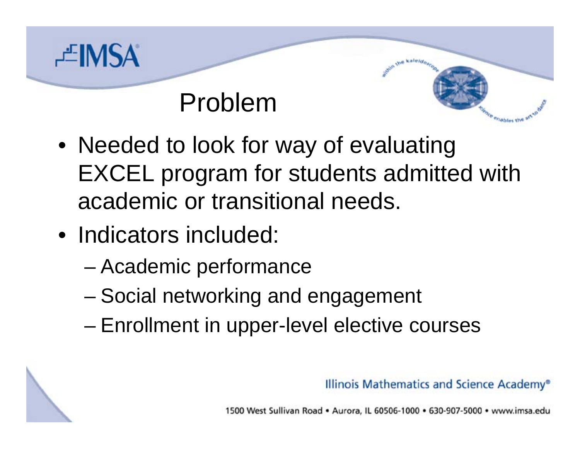

#### Problem

- Needed to look for way of evaluating EXCEL program for students admitted with academic or transitional needs.
- Indicators included:
	- and the state of the state Academic performance
	- –Social networking and engagement
	- –Enrollment in upper-level elective courses

Illinois Mathematics and Science Academy®

Wiebles the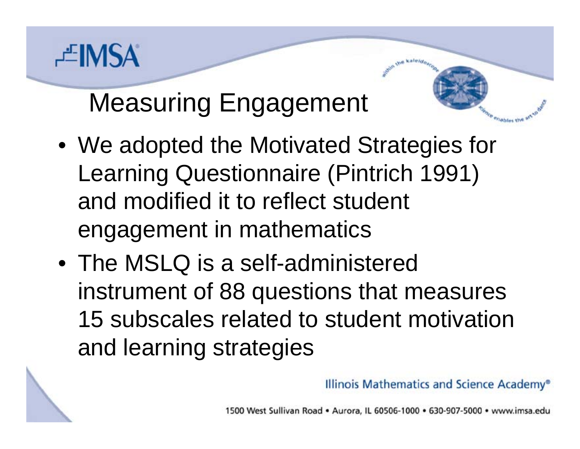

### Measuring Engagement

- We adopted the Motivated Strategies for Learning Questionnaire (Pintrich 1991) and modified it to reflect student engagement in mathematics
- •The MSLQ is a self-administered instrument of 88 questions that measures 15 subscales related to student motivation and learning strategies

Illinois Mathematics and Science Academy®

a kale*ido*.

Viables the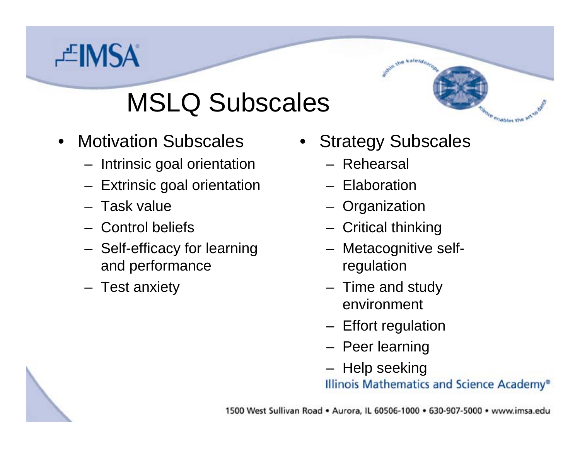# **EIMSA**

## MSLQ Subscales

- •Motivation Subscales
	- Intrinsic goal orientation
	- Extrinsic goal orientation
	- –Task value
	- –Control beliefs
	- Self-efficacy for learning and performance
	- Test anxiety

•Strategy Subscales

kaleido,

Vidbles the

- –Rehearsal
- Elaboration
- Organization
- Critical thinking
- Metacognitive selfregulation
- Time and study environment
- Effort regulation
- Peer learning
- Help seeking

Illinois Mathematics and Science Academy®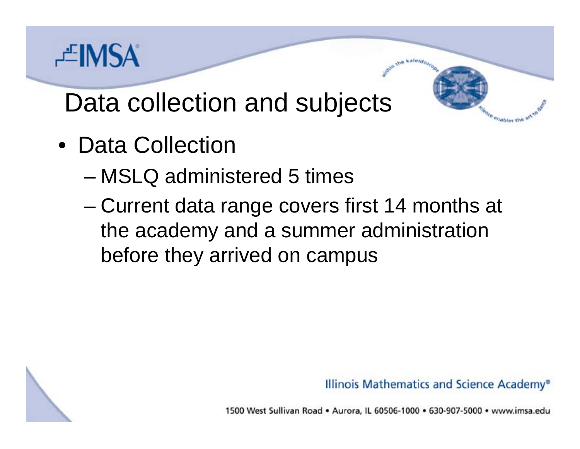# **上IMSA**

#### Data collection and subjects

- •Data Collection
	- –MSLQ administered 5 times
	- and the state of the state Current data range covers first 14 months at the academy and a summer administration before they arrived on campus

Illinois Mathematics and Science Academy®

Viables the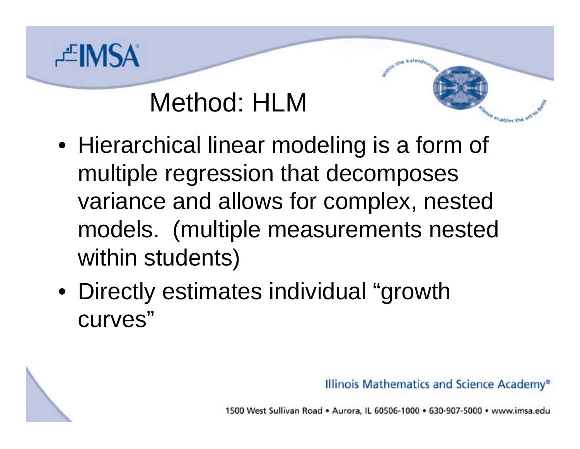

#### Method: HLM

- Hierarchical linear modeling is a form of multiple regression that decomposes variance and allows for complex, nested models. (multiple measurements nested within students)
- Directly estimates individual "growth curves"

Illinois Mathematics and Science Academy®

a kale*ido*.

Viables the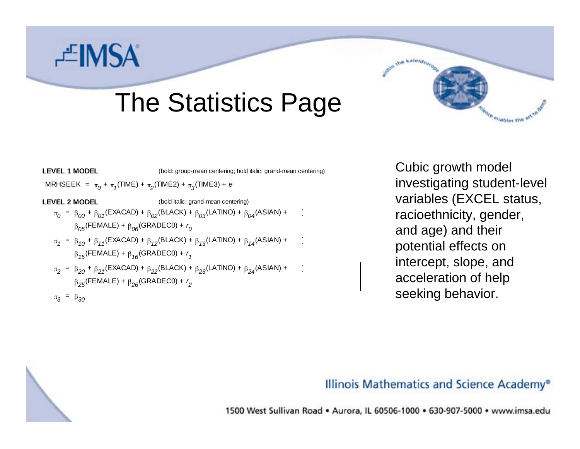# **EIMSA**

#### The Statistics Page



Cubic growth model investigating student-level variables (EXCEL status, racioethnicity, gender, and age) and their potential effects on intercept, slope, and acceleration of help seeking behavior.

#### Illinois Mathematics and Science Academy®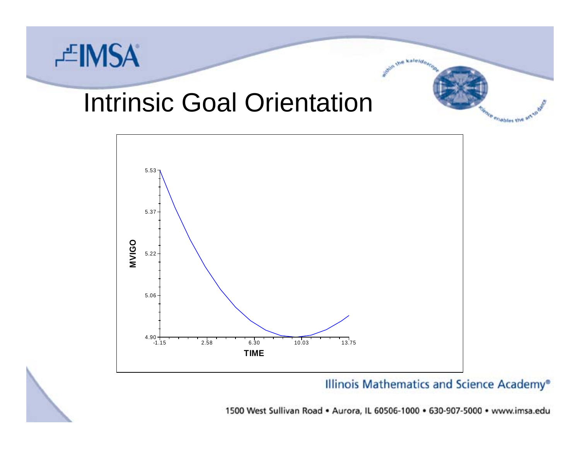

#### Intrinsic Goal Orientation



Illinois Mathematics and Science Academy®

we kaleldo.

enables the art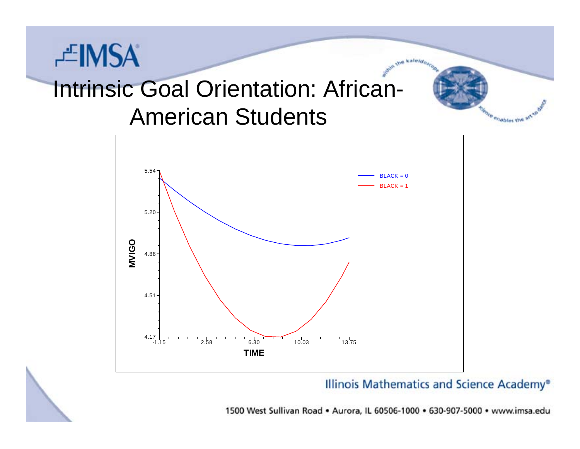# Intrinsic Goal Orientation: African-American Students

芒IMSA



Illinois Mathematics and Science Academy®

kaleido.

enables the art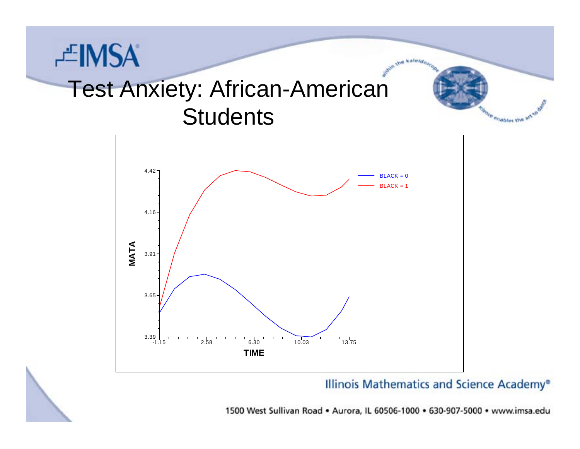## 上MSA Test Anxiety: African-American **Students**



Illinois Mathematics and Science Academy®

kaleido.

ce enables the art to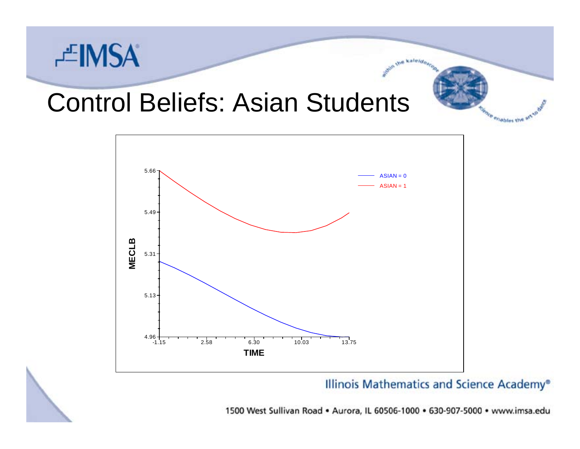

#### Control Beliefs: Asian Students



Illinois Mathematics and Science Academy®

kaleido,

<sup>e</sup>riables the a<sup>ct</sup>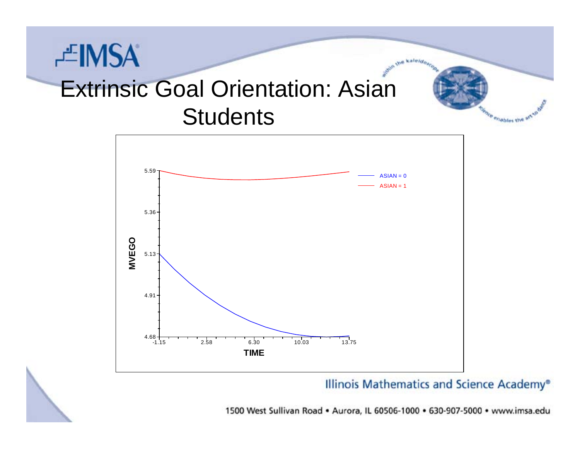## 上IMSA Extrinsic Goal Orientation: Asian **Students**



Illinois Mathematics and Science Academy®

kaleido.

enables the af-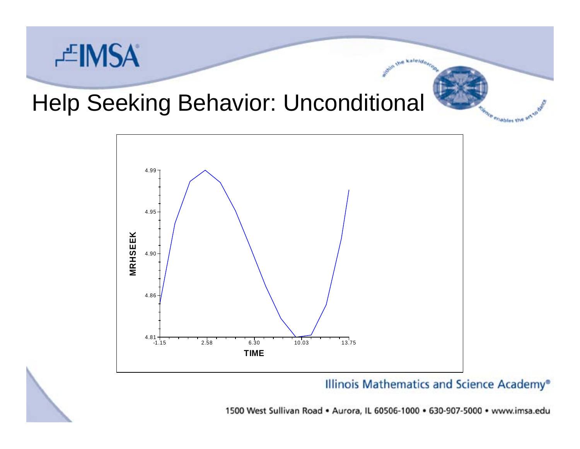

#### Help Seeking Behavior: Unconditional



Illinois Mathematics and Science Academy®

kaleido

<sup>e</sup>riables the a<sup>n</sup>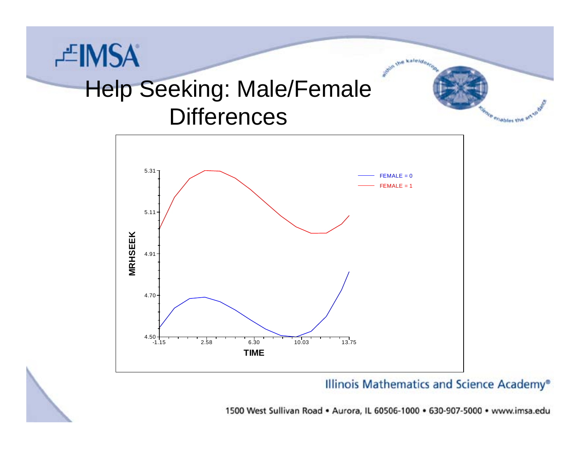## 上MSA Help Seeking: Male/Female Differences



Illinois Mathematics and Science Academy®

we kaleldo.

enables the anso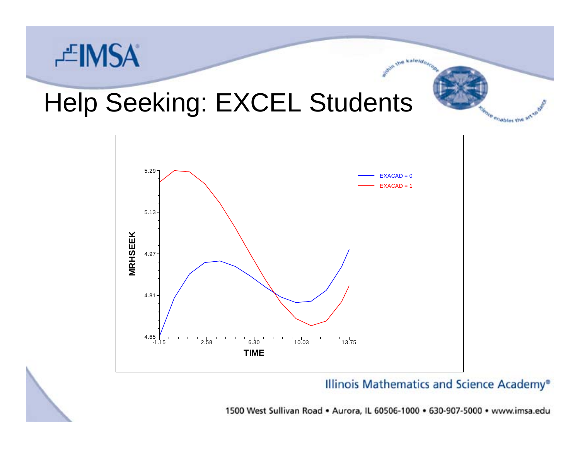

## Help Seeking: EXCEL Students



Illinois Mathematics and Science Academy®

kaleido.

enables the af-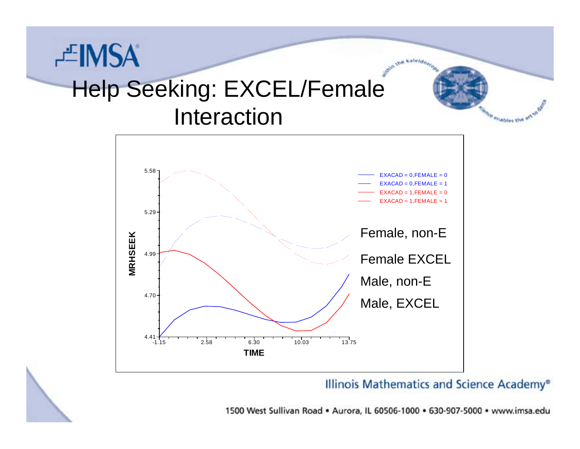### 芒IMSA Help Seeking: EXCEL/Female Interaction



Illinois Mathematics and Science Academy®

kaleido.

enables the art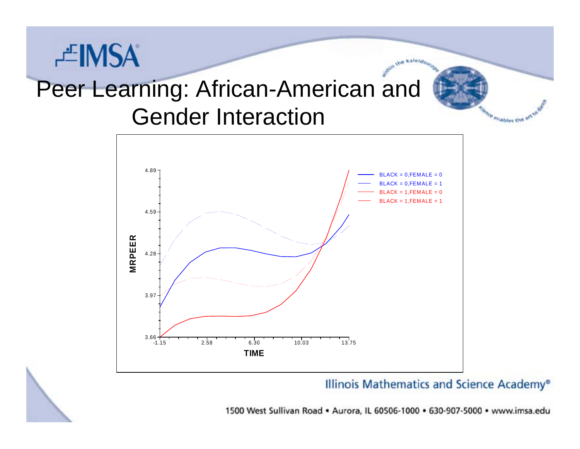### Peer Learning: African-American and Gender Interaction

上MSA



Illinois Mathematics and Science Academy®

enables the art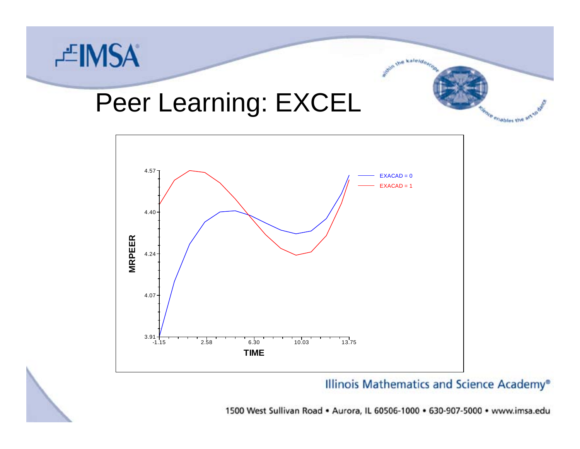

#### Peer Learning: EXCEL



Illinois Mathematics and Science Academy®

we kaleldos

ce enables the anse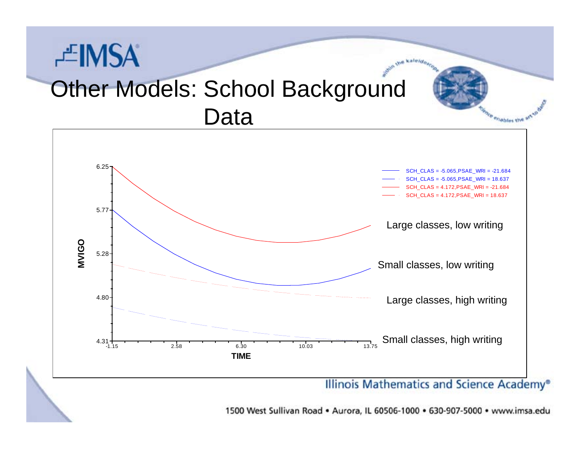### **EIMSA Other Models: School Background** Data



1500 West Sullivan Road . Aurora, IL 60506-1000 . 630-907-5000 . www.imsa.edu

Wiebles the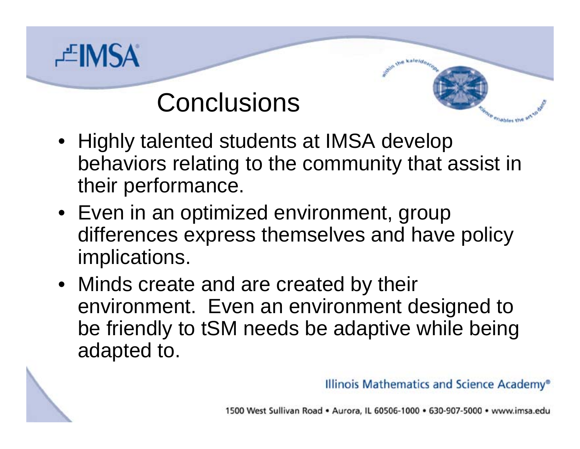

#### **Conclusions**

- a kale*ido*. Wiebles the
- Highly talented students at IMSA develop behaviors relating to the community that assist in their performance.
- Even in an optimized environment, group differences express themselves and have policy implications.
- Minds create and are created by their environment. Even an environment designed to be friendly to tSM needs be adaptive while being adapted to.

Illinois Mathematics and Science Academy®